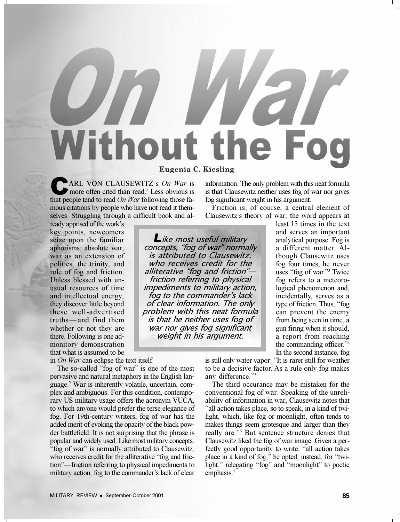## **Without the Fog** Eugenia C. Kiesling<br>ARL VON CLAUSEWITZ's *On War* is information

more often cited than read.<sup>1</sup> Less obvious is that people tend to read *On War* following those famous citations by people who have not read it themselves. Struggling through a difficult book and al-

ready apprised of the work's key points, newcomers seize upon the familiar aphorisms: absolute war, war as an extension of politics, the trinity, and role of fog and friction. Unless blessed with unusual resources of time and intellectual energy, they discover little beyond these well-advertised  $truths$  and find them whether or not they are there. Following is one admonitory demonstration that what is assumed to be

in *On War* can eclipse the text itself.

The so-called "fog of war" is one of the most pervasive and natural metaphors in the English language.<sup>2</sup> War is inherently volatile, uncertain, complex and ambiguous. For this condition, contemporary US military usage offers the acronym VUCA, to which anyone would prefer the terse elegance of fog. For 19th-century writers, fog of war has the added merit of evoking the opacity of the black powder battlefield. It is not surprising that the phrase is popular and widely used. Like most military concepts, "fog of war" is normally attributed to Clausewitz, who receives credit for the alliterative "fog and friction"—friction referring to physical impediments to military action, fog to the commander's lack of clear

information. The only problem with this neat formula is that Clausewitz neither uses fog of war nor gives fog significant weight in his argument.

Friction is, of course, a central element of Clausewitz's theory of war; the word appears at

**L**ike most useful military concepts, "fog of war" normally is attributed to Clausewitz, who receives credit for the alliterative "fog and friction"friction referring to physical impediments to military action, fog to the commander's lack of clear information. The only problem with this neat formula is that he neither uses fog of war nor gives fog significant weight in his argument.

least 13 times in the text and serves an important analytical purpose. Fog is a different matter. Although Clausewitz uses fog four times, he never uses "fog of war."<sup>3</sup> Twice fog refers to a meteorological phenomenon and, incidentally, serves as a type of friction. Thus, "fog can prevent the enemy from being seen in time, a gun firing when it should, a report from reaching the commanding officer.<sup>34</sup> In the second instance, fog

is still only water vapor: "It is rarer still for weather to be a decisive factor. As a rule only fog makes any difference."5

The third occurance may be mistaken for the conventional fog of war. Speaking of the unreliability of information in war, Clausewitz notes that all action takes place, so to speak, in a kind of twilight, which, like fog or moonlight, often tends to makes things seem grotesque and larger than they really are.<sup>76</sup> But sentence structure denies that Clausewitz liked the fog of war image. Given a perfectly good opportunity to write, "all action takes place in a kind of fog," he opted, instead, for "twilight," relegating "fog" and "moonlight" to poetic emphasis.<sup>7</sup>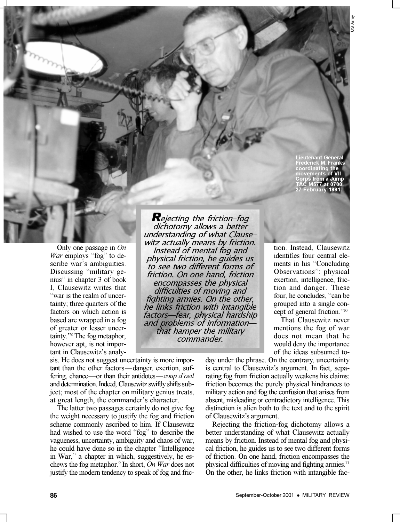**Lieutenant General Frederick M. Franks coordinating the movements of VII Corps from a Jump TAC M577 at 0700, 27 February 1991.**

US Army

Only one passage in *On War* employs "fog" to describe war's ambiguities. Discussing "military genius" in chapter 3 of book I, Clausewitz writes that war is the realm of uncertainty; three quarters of the factors on which action is based are wrapped in a fog of greater or lesser uncertainty."<sup>8</sup> The fog metaphor, however apt, is not important in Clausewitz's analy-

sis. He does not suggest uncertainty is more important than the other factors—danger, exertion, suffering, chance—or than their antidotes—*coup d'oeil* and determination. Indeed, Clausewitz swiftly shifts subject; most of the chapter on military genius treats, at great length, the commander's character.

The latter two passages certainly do not give fog the weight necessary to justify the fog and friction scheme commonly ascribed to him. If Clausewitz had wished to use the word "fog" to describe the vagueness, uncertainty, ambiguity and chaos of war, he could have done so in the chapter "Intelligence" in War," a chapter in which, suggestively, he eschews the fog metaphor.<sup>9</sup> In short, *On War* does not justify the modern tendency to speak of fog and fric-

*R*ejecting the friction-fog dichotomy allows a better understanding of what Clausewitz actually means by friction. Instead of mental fog and physical friction, he guides us to see two different forms of friction. On one hand, friction encompasses the physical difficulties of moving and fighting armies. On the other, he links friction with intangible factors—fear, physical hardship and problems of information that hamper the military commander.

tion. Instead, Clausewitz identifies four central elements in his "Concluding Observations": physical exertion, intelligence, friction and danger. These four, he concludes, "can be grouped into a single concept of general friction."<sup>10</sup>

That Clausewitz never mentions the fog of war does not mean that he would deny the importance of the ideas subsumed to-

day under the phrase. On the contrary, uncertainty is central to Clausewitz's argument. In fact, separating fog from friction actually weakens his claims: friction becomes the purely physical hindrances to military action and fog the confusion that arises from absent, misleading or contradictory intelligence. This distinction is alien both to the text and to the spirit of Clausewitz's argument.

Rejecting the friction-fog dichotomy allows a better understanding of what Clausewitz actually means by friction. Instead of mental fog and physical friction, he guides us to see two different forms of friction. On one hand, friction encompasses the physical difficulties of moving and fighting armies.<sup>11</sup> On the other, he links friction with intangible fac